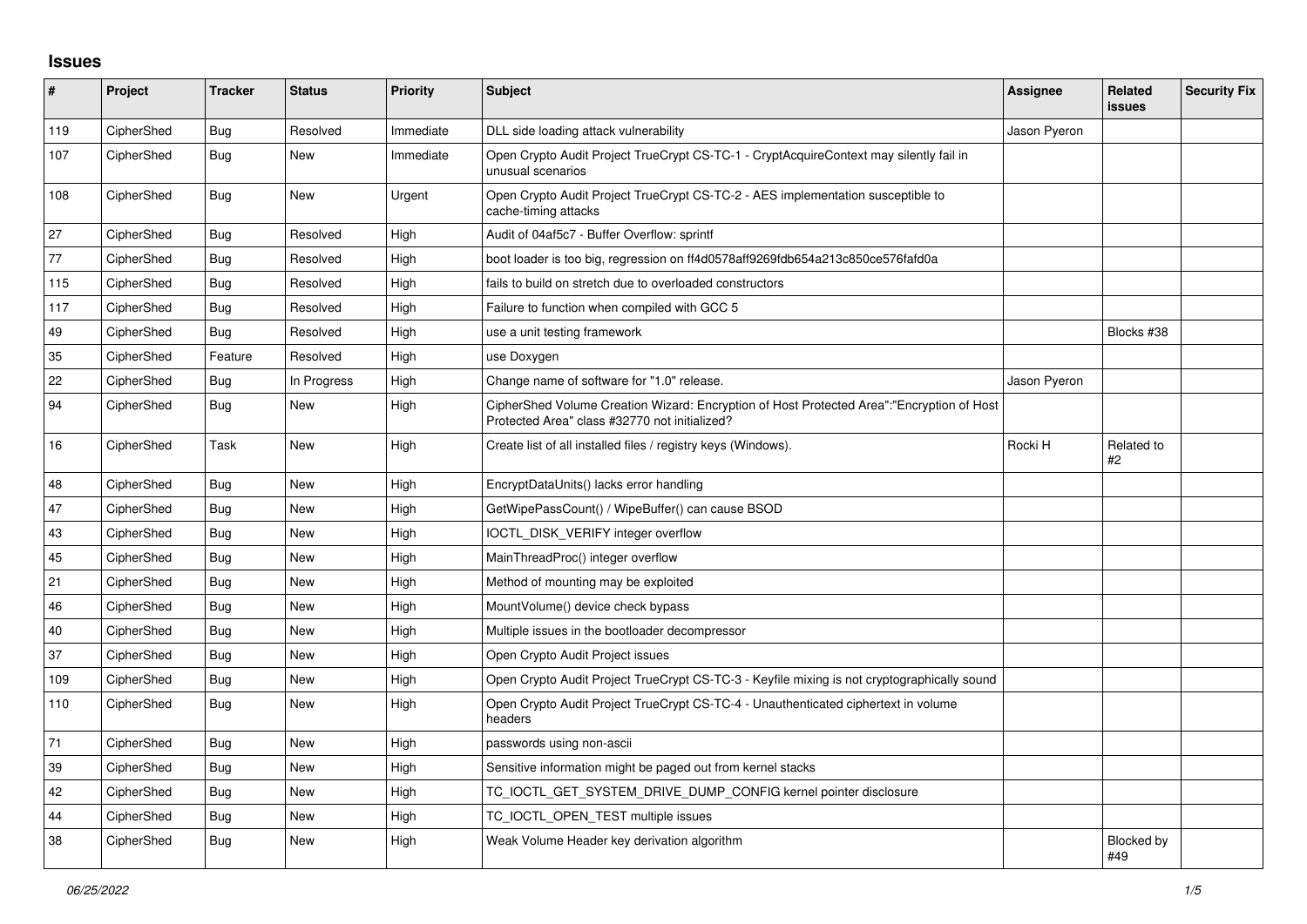## **Issues**

| #    | Project    | <b>Tracker</b> | <b>Status</b> | <b>Priority</b> | <b>Subject</b>                                                                                                                             | Assignee     | Related<br><b>issues</b> | <b>Security Fix</b> |
|------|------------|----------------|---------------|-----------------|--------------------------------------------------------------------------------------------------------------------------------------------|--------------|--------------------------|---------------------|
| 119  | CipherShed | <b>Bug</b>     | Resolved      | Immediate       | DLL side loading attack vulnerability                                                                                                      | Jason Pyeron |                          |                     |
| 107  | CipherShed | <b>Bug</b>     | New           | Immediate       | Open Crypto Audit Project TrueCrypt CS-TC-1 - CryptAcquireContext may silently fail in<br>unusual scenarios                                |              |                          |                     |
| 108  | CipherShed | <b>Bug</b>     | New           | Urgent          | Open Crypto Audit Project TrueCrypt CS-TC-2 - AES implementation susceptible to<br>cache-timing attacks                                    |              |                          |                     |
| 27   | CipherShed | Bug            | Resolved      | High            | Audit of 04af5c7 - Buffer Overflow: sprintf                                                                                                |              |                          |                     |
| $77$ | CipherShed | <b>Bug</b>     | Resolved      | High            | boot loader is too big, regression on ff4d0578aff9269fdb654a213c850ce576fafd0a                                                             |              |                          |                     |
| 115  | CipherShed | Bug            | Resolved      | High            | fails to build on stretch due to overloaded constructors                                                                                   |              |                          |                     |
| 117  | CipherShed | Bug            | Resolved      | High            | Failure to function when compiled with GCC 5                                                                                               |              |                          |                     |
| 49   | CipherShed | Bug            | Resolved      | High            | use a unit testing framework                                                                                                               |              | Blocks #38               |                     |
| 35   | CipherShed | Feature        | Resolved      | High            | use Doxygen                                                                                                                                |              |                          |                     |
| 22   | CipherShed | <b>Bug</b>     | In Progress   | High            | Change name of software for "1.0" release.                                                                                                 | Jason Pyeron |                          |                     |
| 94   | CipherShed | Bug            | New           | High            | CipherShed Volume Creation Wizard: Encryption of Host Protected Area":"Encryption of Host<br>Protected Area" class #32770 not initialized? |              |                          |                     |
| 16   | CipherShed | Task           | <b>New</b>    | High            | Create list of all installed files / registry keys (Windows).                                                                              | Rocki H      | Related to<br>#2         |                     |
| 48   | CipherShed | Bug            | <b>New</b>    | High            | EncryptDataUnits() lacks error handling                                                                                                    |              |                          |                     |
| 47   | CipherShed | Bug            | <b>New</b>    | High            | GetWipePassCount() / WipeBuffer() can cause BSOD                                                                                           |              |                          |                     |
| 43   | CipherShed | Bug            | <b>New</b>    | High            | IOCTL_DISK_VERIFY integer overflow                                                                                                         |              |                          |                     |
| 45   | CipherShed | Bug            | <b>New</b>    | High            | MainThreadProc() integer overflow                                                                                                          |              |                          |                     |
| 21   | CipherShed | Bug            | <b>New</b>    | High            | Method of mounting may be exploited                                                                                                        |              |                          |                     |
| 46   | CipherShed | Bug            | New           | High            | MountVolume() device check bypass                                                                                                          |              |                          |                     |
| 40   | CipherShed | Bug            | <b>New</b>    | High            | Multiple issues in the bootloader decompressor                                                                                             |              |                          |                     |
| 37   | CipherShed | <b>Bug</b>     | <b>New</b>    | High            | Open Crypto Audit Project issues                                                                                                           |              |                          |                     |
| 109  | CipherShed | <b>Bug</b>     | New           | High            | Open Crypto Audit Project TrueCrypt CS-TC-3 - Keyfile mixing is not cryptographically sound                                                |              |                          |                     |
| 110  | CipherShed | <b>Bug</b>     | <b>New</b>    | High            | Open Crypto Audit Project TrueCrypt CS-TC-4 - Unauthenticated ciphertext in volume<br>headers                                              |              |                          |                     |
| 71   | CipherShed | Bug            | <b>New</b>    | High            | passwords using non-ascii                                                                                                                  |              |                          |                     |
| 39   | CipherShed | Bug            | <b>New</b>    | High            | Sensitive information might be paged out from kernel stacks                                                                                |              |                          |                     |
| 42   | CipherShed | Bug            | New           | High            | TC_IOCTL_GET_SYSTEM_DRIVE_DUMP_CONFIG kernel pointer disclosure                                                                            |              |                          |                     |
| 44   | CipherShed | Bug            | New           | High            | TC IOCTL OPEN TEST multiple issues                                                                                                         |              |                          |                     |
| 38   | CipherShed | Bug            | <b>New</b>    | High            | Weak Volume Header key derivation algorithm                                                                                                |              | <b>Blocked by</b><br>#49 |                     |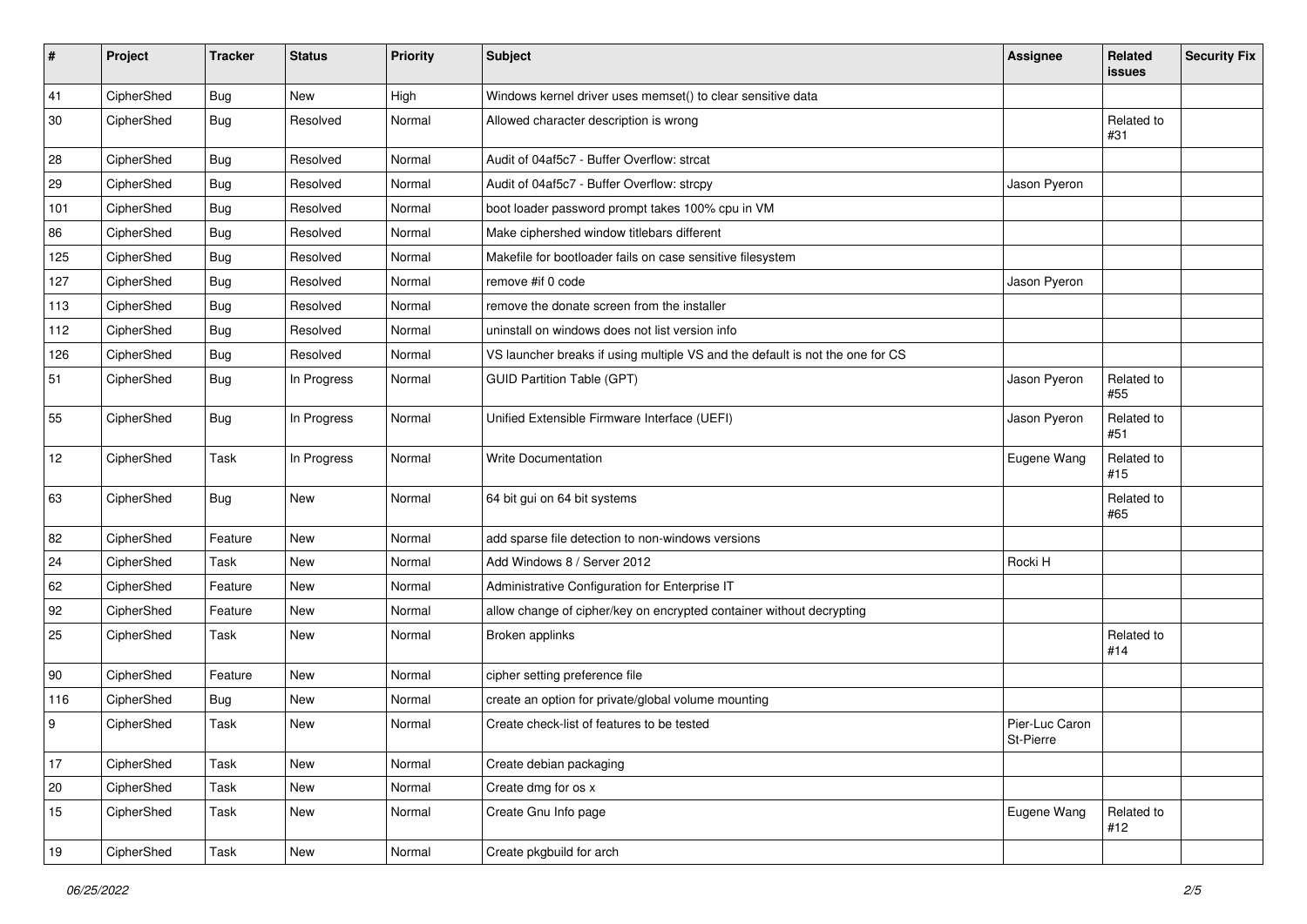| $\sharp$ | Project    | <b>Tracker</b> | <b>Status</b> | <b>Priority</b> | <b>Subject</b>                                                                | <b>Assignee</b>             | Related<br><b>issues</b> | <b>Security Fix</b> |
|----------|------------|----------------|---------------|-----------------|-------------------------------------------------------------------------------|-----------------------------|--------------------------|---------------------|
| 41       | CipherShed | <b>Bug</b>     | <b>New</b>    | High            | Windows kernel driver uses memset() to clear sensitive data                   |                             |                          |                     |
| 30       | CipherShed | <b>Bug</b>     | Resolved      | Normal          | Allowed character description is wrong                                        |                             | Related to<br>#31        |                     |
| 28       | CipherShed | Bug            | Resolved      | Normal          | Audit of 04af5c7 - Buffer Overflow: strcat                                    |                             |                          |                     |
| 29       | CipherShed | <b>Bug</b>     | Resolved      | Normal          | Audit of 04af5c7 - Buffer Overflow: strcpy                                    | Jason Pyeron                |                          |                     |
| 101      | CipherShed | <b>Bug</b>     | Resolved      | Normal          | boot loader password prompt takes 100% cpu in VM                              |                             |                          |                     |
| 86       | CipherShed | <b>Bug</b>     | Resolved      | Normal          | Make ciphershed window titlebars different                                    |                             |                          |                     |
| 125      | CipherShed | <b>Bug</b>     | Resolved      | Normal          | Makefile for bootloader fails on case sensitive filesystem                    |                             |                          |                     |
| 127      | CipherShed | <b>Bug</b>     | Resolved      | Normal          | remove #if 0 code                                                             | Jason Pyeron                |                          |                     |
| 113      | CipherShed | <b>Bug</b>     | Resolved      | Normal          | remove the donate screen from the installer                                   |                             |                          |                     |
| 112      | CipherShed | <b>Bug</b>     | Resolved      | Normal          | uninstall on windows does not list version info                               |                             |                          |                     |
| 126      | CipherShed | <b>Bug</b>     | Resolved      | Normal          | VS launcher breaks if using multiple VS and the default is not the one for CS |                             |                          |                     |
| 51       | CipherShed | <b>Bug</b>     | In Progress   | Normal          | <b>GUID Partition Table (GPT)</b>                                             | Jason Pyeron                | Related to<br>#55        |                     |
| 55       | CipherShed | <b>Bug</b>     | In Progress   | Normal          | Unified Extensible Firmware Interface (UEFI)                                  | Jason Pyeron                | Related to<br>#51        |                     |
| 12       | CipherShed | Task           | In Progress   | Normal          | <b>Write Documentation</b>                                                    | Eugene Wang                 | Related to<br>#15        |                     |
| 63       | CipherShed | Bug            | <b>New</b>    | Normal          | 64 bit gui on 64 bit systems                                                  |                             | Related to<br>#65        |                     |
| 82       | CipherShed | Feature        | <b>New</b>    | Normal          | add sparse file detection to non-windows versions                             |                             |                          |                     |
| 24       | CipherShed | Task           | <b>New</b>    | Normal          | Add Windows 8 / Server 2012                                                   | Rocki H                     |                          |                     |
| 62       | CipherShed | Feature        | New           | Normal          | Administrative Configuration for Enterprise IT                                |                             |                          |                     |
| 92       | CipherShed | Feature        | New           | Normal          | allow change of cipher/key on encrypted container without decrypting          |                             |                          |                     |
| 25       | CipherShed | Task           | <b>New</b>    | Normal          | Broken applinks                                                               |                             | Related to<br>#14        |                     |
| 90       | CipherShed | Feature        | <b>New</b>    | Normal          | cipher setting preference file                                                |                             |                          |                     |
| 116      | CipherShed | <b>Bug</b>     | <b>New</b>    | Normal          | create an option for private/global volume mounting                           |                             |                          |                     |
| 9        | CipherShed | Task           | <b>New</b>    | Normal          | Create check-list of features to be tested                                    | Pier-Luc Caron<br>St-Pierre |                          |                     |
| 17       | CipherShed | Task           | New           | Normal          | Create debian packaging                                                       |                             |                          |                     |
| 20       | CipherShed | Task           | New           | Normal          | Create dmg for os x                                                           |                             |                          |                     |
| 15       | CipherShed | Task           | New           | Normal          | Create Gnu Info page                                                          | Eugene Wang                 | Related to<br>#12        |                     |
| 19       | CipherShed | Task           | New           | Normal          | Create pkgbuild for arch                                                      |                             |                          |                     |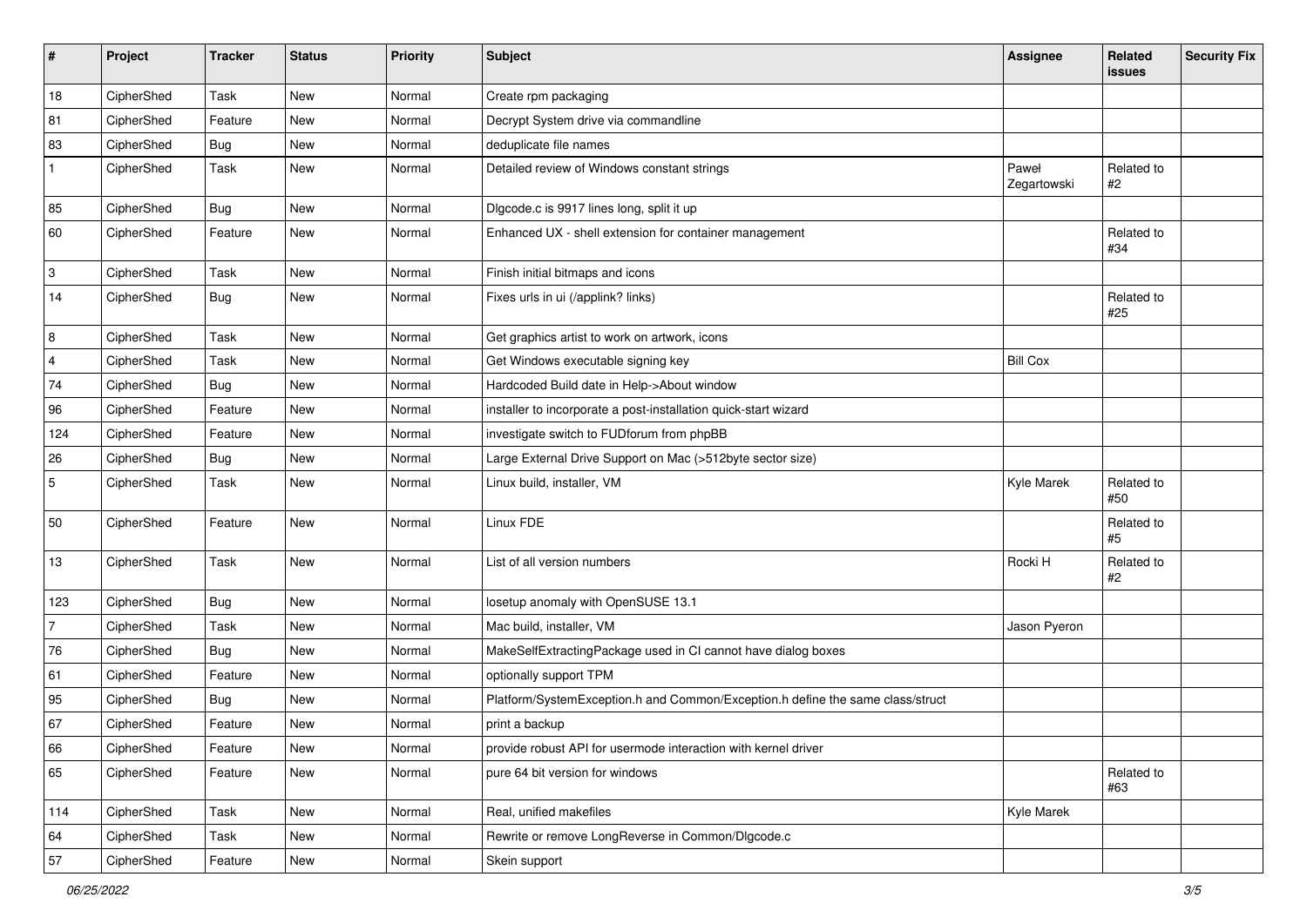| #              | Project    | <b>Tracker</b> | <b>Status</b> | <b>Priority</b> | <b>Subject</b>                                                                 | <b>Assignee</b>      | Related<br>issues | <b>Security Fix</b> |
|----------------|------------|----------------|---------------|-----------------|--------------------------------------------------------------------------------|----------------------|-------------------|---------------------|
| 18             | CipherShed | Task           | New           | Normal          | Create rpm packaging                                                           |                      |                   |                     |
| 81             | CipherShed | Feature        | New           | Normal          | Decrypt System drive via commandline                                           |                      |                   |                     |
| 83             | CipherShed | <b>Bug</b>     | New           | Normal          | deduplicate file names                                                         |                      |                   |                     |
| $\mathbf{1}$   | CipherShed | Task           | New           | Normal          | Detailed review of Windows constant strings                                    | Paweł<br>Zegartowski | Related to<br>#2  |                     |
| 85             | CipherShed | <b>Bug</b>     | <b>New</b>    | Normal          | Digcode.c is 9917 lines long, split it up                                      |                      |                   |                     |
| 60             | CipherShed | Feature        | New           | Normal          | Enhanced UX - shell extension for container management                         |                      | Related to<br>#34 |                     |
| $\vert$ 3      | CipherShed | Task           | New           | Normal          | Finish initial bitmaps and icons                                               |                      |                   |                     |
| 14             | CipherShed | Bug            | <b>New</b>    | Normal          | Fixes urls in ui (/applink? links)                                             |                      | Related to<br>#25 |                     |
| 8              | CipherShed | Task           | <b>New</b>    | Normal          | Get graphics artist to work on artwork, icons                                  |                      |                   |                     |
| $\overline{4}$ | CipherShed | Task           | New           | Normal          | Get Windows executable signing key                                             | <b>Bill Cox</b>      |                   |                     |
| 74             | CipherShed | <b>Bug</b>     | <b>New</b>    | Normal          | Hardcoded Build date in Help->About window                                     |                      |                   |                     |
| 96             | CipherShed | Feature        | New           | Normal          | installer to incorporate a post-installation quick-start wizard                |                      |                   |                     |
| 124            | CipherShed | Feature        | <b>New</b>    | Normal          | investigate switch to FUDforum from phpBB                                      |                      |                   |                     |
| 26             | CipherShed | Bug            | New           | Normal          | Large External Drive Support on Mac (>512byte sector size)                     |                      |                   |                     |
| 5              | CipherShed | Task           | <b>New</b>    | Normal          | Linux build, installer, VM                                                     | Kyle Marek           | Related to<br>#50 |                     |
| 50             | CipherShed | Feature        | New           | Normal          | Linux FDE                                                                      |                      | Related to<br>#5  |                     |
| 13             | CipherShed | Task           | <b>New</b>    | Normal          | List of all version numbers                                                    | Rocki H              | Related to<br>#2  |                     |
| 123            | CipherShed | Bug            | New           | Normal          | losetup anomaly with OpenSUSE 13.1                                             |                      |                   |                     |
| $\overline{7}$ | CipherShed | Task           | <b>New</b>    | Normal          | Mac build, installer, VM                                                       | Jason Pyeron         |                   |                     |
| 76             | CipherShed | <b>Bug</b>     | New           | Normal          | MakeSelfExtractingPackage used in CI cannot have dialog boxes                  |                      |                   |                     |
| 61             | CipherShed | Feature        | <b>New</b>    | Normal          | optionally support TPM                                                         |                      |                   |                     |
| 95             | CipherShed | Bug            | New           | Normal          | Platform/SystemException.h and Common/Exception.h define the same class/struct |                      |                   |                     |
| 67             | CipherShed | Feature        | New           | Normal          | print a backup                                                                 |                      |                   |                     |
| 66             | CipherShed | Feature        | New           | Normal          | provide robust API for usermode interaction with kernel driver                 |                      |                   |                     |
| 65             | CipherShed | Feature        | New           | Normal          | pure 64 bit version for windows                                                |                      | Related to<br>#63 |                     |
| 114            | CipherShed | Task           | New           | Normal          | Real, unified makefiles                                                        | Kyle Marek           |                   |                     |
| 64             | CipherShed | Task           | New           | Normal          | Rewrite or remove LongReverse in Common/Dlgcode.c                              |                      |                   |                     |
| 57             | CipherShed | Feature        | New           | Normal          | Skein support                                                                  |                      |                   |                     |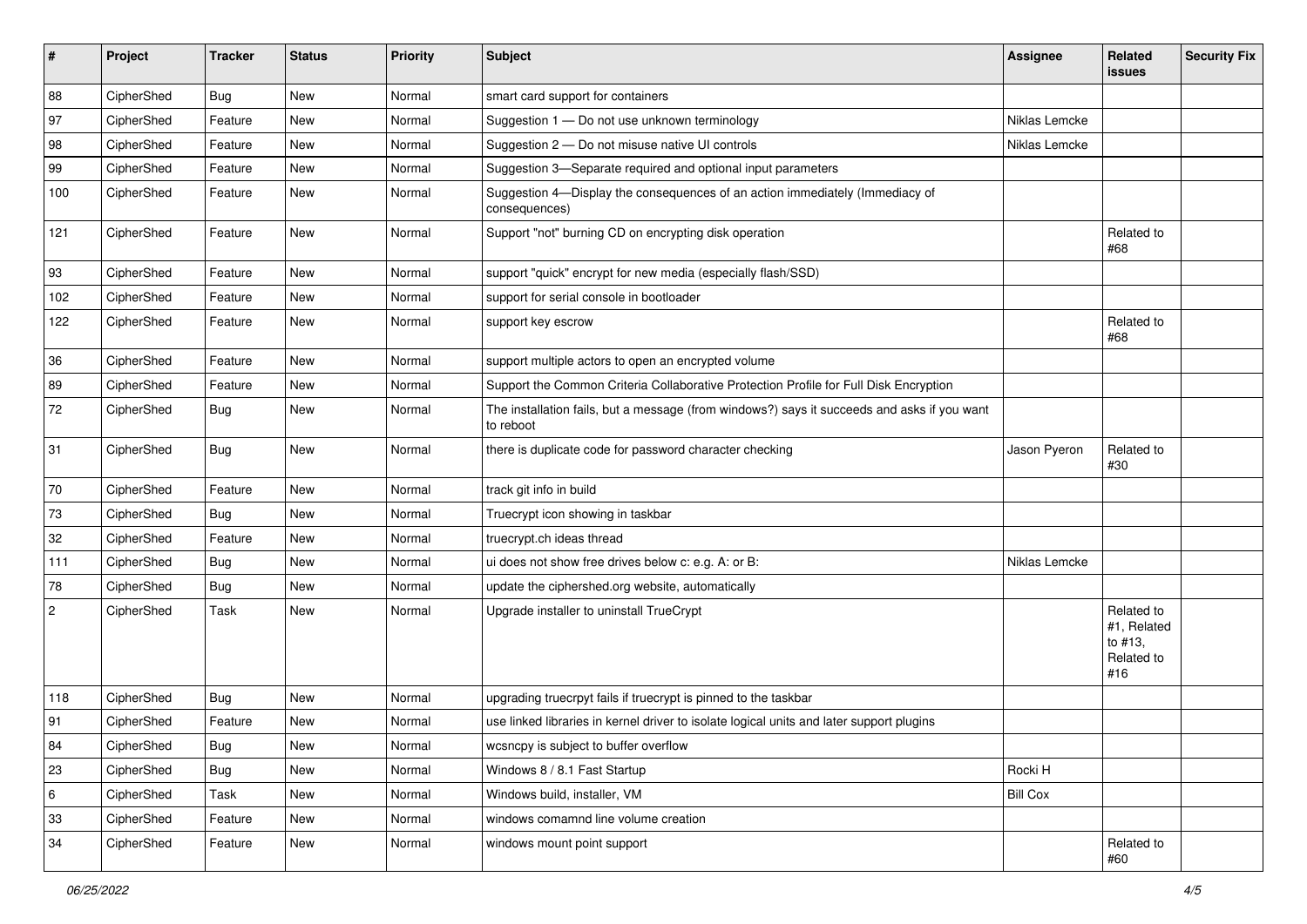| #              | Project    | <b>Tracker</b> | <b>Status</b> | <b>Priority</b> | <b>Subject</b>                                                                                           | Assignee        | Related<br>issues                                         | <b>Security Fix</b> |
|----------------|------------|----------------|---------------|-----------------|----------------------------------------------------------------------------------------------------------|-----------------|-----------------------------------------------------------|---------------------|
| 88             | CipherShed | <b>Bug</b>     | New           | Normal          | smart card support for containers                                                                        |                 |                                                           |                     |
| 97             | CipherShed | Feature        | New           | Normal          | Suggestion 1 - Do not use unknown terminology                                                            | Niklas Lemcke   |                                                           |                     |
| 98             | CipherShed | Feature        | New           | Normal          | Suggestion 2 - Do not misuse native UI controls                                                          | Niklas Lemcke   |                                                           |                     |
| 99             | CipherShed | Feature        | New           | Normal          | Suggestion 3-Separate required and optional input parameters                                             |                 |                                                           |                     |
| 100            | CipherShed | Feature        | New           | Normal          | Suggestion 4-Display the consequences of an action immediately (Immediacy of<br>consequences)            |                 |                                                           |                     |
| 121            | CipherShed | Feature        | <b>New</b>    | Normal          | Support "not" burning CD on encrypting disk operation                                                    |                 | Related to<br>#68                                         |                     |
| 93             | CipherShed | Feature        | New           | Normal          | support "quick" encrypt for new media (especially flash/SSD)                                             |                 |                                                           |                     |
| 102            | CipherShed | Feature        | New           | Normal          | support for serial console in bootloader                                                                 |                 |                                                           |                     |
| 122            | CipherShed | Feature        | <b>New</b>    | Normal          | support key escrow                                                                                       |                 | Related to<br>#68                                         |                     |
| 36             | CipherShed | Feature        | New           | Normal          | support multiple actors to open an encrypted volume                                                      |                 |                                                           |                     |
| 89             | CipherShed | Feature        | New           | Normal          | Support the Common Criteria Collaborative Protection Profile for Full Disk Encryption                    |                 |                                                           |                     |
| 72             | CipherShed | Bug            | <b>New</b>    | Normal          | The installation fails, but a message (from windows?) says it succeeds and asks if you want<br>to reboot |                 |                                                           |                     |
| 31             | CipherShed | Bug            | New           | Normal          | there is duplicate code for password character checking                                                  | Jason Pyeron    | Related to<br>#30                                         |                     |
| 70             | CipherShed | Feature        | New           | Normal          | track git info in build                                                                                  |                 |                                                           |                     |
| 73             | CipherShed | <b>Bug</b>     | New           | Normal          | Truecrypt icon showing in taskbar                                                                        |                 |                                                           |                     |
| 32             | CipherShed | Feature        | New           | Normal          | truecrypt.ch ideas thread                                                                                |                 |                                                           |                     |
| 111            | CipherShed | <b>Bug</b>     | New           | Normal          | ui does not show free drives below c: e.g. A: or B:                                                      | Niklas Lemcke   |                                                           |                     |
| 78             | CipherShed | <b>Bug</b>     | New           | Normal          | update the ciphershed.org website, automatically                                                         |                 |                                                           |                     |
| $\overline{c}$ | CipherShed | Task           | New           | Normal          | Upgrade installer to uninstall TrueCrypt                                                                 |                 | Related to<br>#1, Related<br>to #13,<br>Related to<br>#16 |                     |
| 118            | CipherShed | <b>Bug</b>     | <b>New</b>    | Normal          | upgrading truecrpyt fails if truecrypt is pinned to the taskbar                                          |                 |                                                           |                     |
| 91             | CipherShed | Feature        | <b>New</b>    | Normal          | use linked libraries in kernel driver to isolate logical units and later support plugins                 |                 |                                                           |                     |
| 84             | CipherShed | <b>Bug</b>     | New           | Normal          | wcsncpy is subject to buffer overflow                                                                    |                 |                                                           |                     |
| 23             | CipherShed | <b>Bug</b>     | New           | Normal          | Windows 8 / 8.1 Fast Startup                                                                             | Rocki H         |                                                           |                     |
| 6              | CipherShed | Task           | New           | Normal          | Windows build, installer, VM                                                                             | <b>Bill Cox</b> |                                                           |                     |
| 33             | CipherShed | Feature        | New           | Normal          | windows comamnd line volume creation                                                                     |                 |                                                           |                     |
| 34             | CipherShed | Feature        | New           | Normal          | windows mount point support                                                                              |                 | Related to<br>#60                                         |                     |